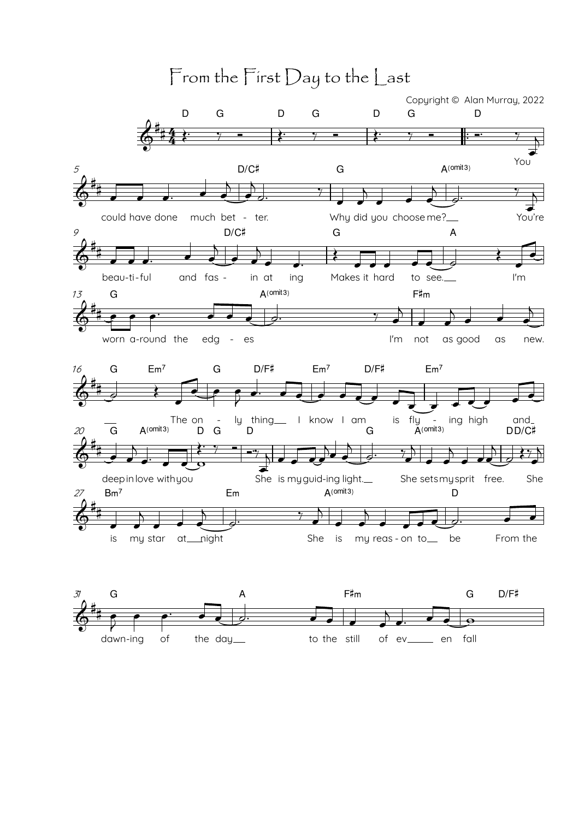